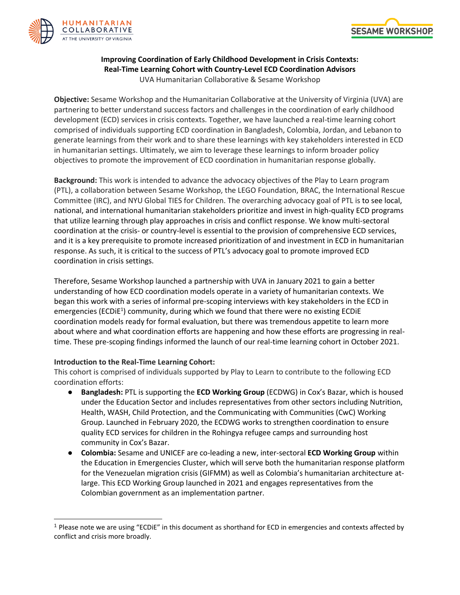



## **Improving Coordination of Early Childhood Development in Crisis Contexts: Real-Time Learning Cohort with Country-Level ECD Coordination Advisors** UVA Humanitarian Collaborative & Sesame Workshop

**Objective:** Sesame Workshop and the Humanitarian Collaborative at the University of Virginia (UVA) are partnering to better understand success factors and challenges in the coordination of early childhood development (ECD) services in crisis contexts. Together, we have launched a real-time learning cohort comprised of individuals supporting ECD coordination in Bangladesh, Colombia, Jordan, and Lebanon to generate learnings from their work and to share these learnings with key stakeholders interested in ECD in humanitarian settings. Ultimately, we aim to leverage these learnings to inform broader policy objectives to promote the improvement of ECD coordination in humanitarian response globally.

**Background:** This work is intended to advance the advocacy objectives of the Play to Learn program (PTL), a collaboration between Sesame Workshop, the LEGO Foundation, BRAC, the International Rescue Committee (IRC), and NYU Global TIES for Children. The overarching advocacy goal of PTL is to see local, national, and international humanitarian stakeholders prioritize and invest in high-quality ECD programs that utilize learning through play approaches in crisis and conflict response. We know multi-sectoral coordination at the crisis- or country-level is essential to the provision of comprehensive ECD services, and it is a key prerequisite to promote increased prioritization of and investment in ECD in humanitarian response. As such, it is critical to the success of PTL's advocacy goal to promote improved ECD coordination in crisis settings.

Therefore, Sesame Workshop launched a partnership with UVA in January 2021 to gain a better understanding of how ECD coordination models operate in a variety of humanitarian contexts. We began this work with a series of informal pre-scoping interviews with key stakeholders in the ECD in emergencies (ECDiE<sup>1</sup>) community, during which we found that there were no existing ECDiE coordination models ready for formal evaluation, but there was tremendous appetite to learn more about where and what coordination efforts are happening and how these efforts are progressing in realtime. These pre-scoping findings informed the launch of our real-time learning cohort in October 2021.

## **Introduction to the Real-Time Learning Cohort:**

This cohort is comprised of individuals supported by Play to Learn to contribute to the following ECD coordination efforts:

- **Bangladesh:** PTL is supporting the **ECD Working Group** (ECDWG) in Cox's Bazar, which is housed under the Education Sector and includes representatives from other sectors including Nutrition, Health, WASH, Child Protection, and the Communicating with Communities (CwC) Working Group. Launched in February 2020, the ECDWG works to strengthen coordination to ensure quality ECD services for children in the Rohingya refugee camps and surrounding host community in Cox's Bazar.
- **Colombia:** Sesame and UNICEF are co-leading a new, inter-sectoral **ECD Working Group** within the Education in Emergencies Cluster, which will serve both the humanitarian response platform for the Venezuelan migration crisis (GIFMM) as well as Colombia's humanitarian architecture atlarge. This ECD Working Group launched in 2021 and engages representatives from the Colombian government as an implementation partner.

<sup>1</sup> Please note we are using "ECDiE" in this document as shorthand for ECD in emergencies and contexts affected by conflict and crisis more broadly.